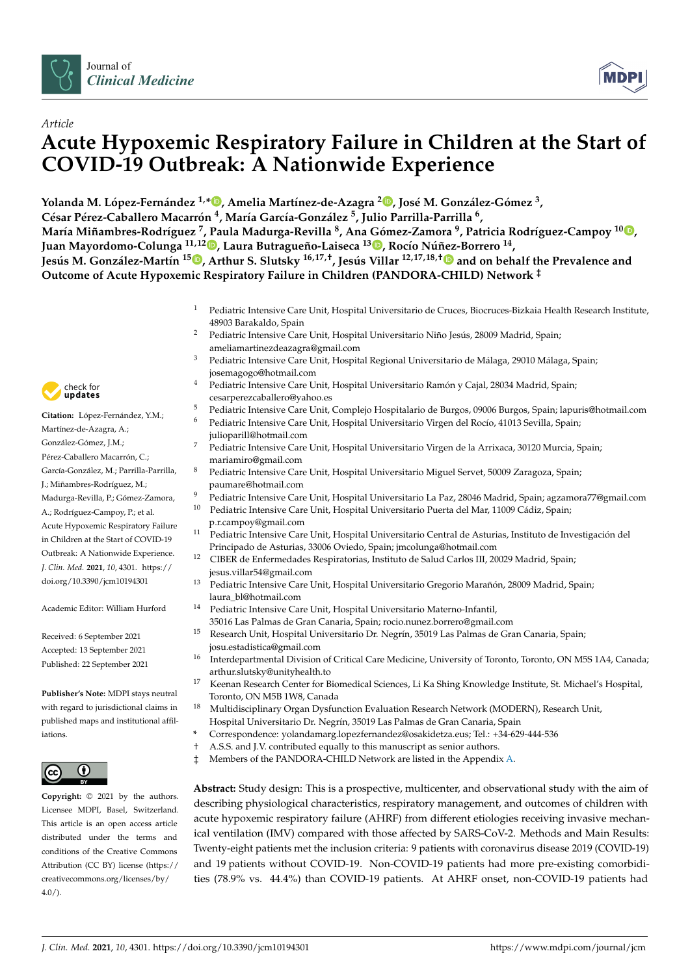



# **Acute Hypoxemic Respiratory Failure in Children at the Start of COVID-19 Outbreak: A Nationwide Experience**

Yolanda M. López-Fernández <sup>1,</sup>[\\*](https://orcid.org/0000-0002-3918-1326)®[,](https://orcid.org/0000-0002-7997-0821) Amelia Martínez-de-Azagra <sup>2</sup>®, José M. González-Gómez <sup>3</sup>, **César Pérez-Caballero Macarrón 4 , María García-González <sup>5</sup> , Julio Parrilla-Parrilla <sup>6</sup> ,** María Miñambres-Rodríguez <sup>7</sup>, Paula Madurga-Revilla <sup>8</sup>, Ana Gómez-Zamora <sup>9</sup>, Patricia Rodríguez-Campoy <sup>1[0](https://orcid.org/0000-0002-0778-6443)</sup>®, **Juan Mayordomo-Colunga 11,1[2](https://orcid.org/0000-0003-0997-4410) , Laura Butragueño-Laiseca <sup>13</sup> [,](https://orcid.org/0000-0001-5430-0488) Rocío Núñez-Borrero <sup>14</sup> ,** Jesús M. González-Martín <sup>15</sup>®[,](https://orcid.org/0000-0001-6816-4157) Arthur S. Slutsky <sup>16,17,†</sup>, Jesús Villar <sup>12,17,18,†® and on behalf the Prevalence and</sup> **Outcome of Acute Hypoxemic Respiratory Failure in Children (PANDORA-CHILD) Network ‡**

- <sup>1</sup> Pediatric Intensive Care Unit, Hospital Universitario de Cruces, Biocruces-Bizkaia Health Research Institute, 48903 Barakaldo, Spain
- <sup>2</sup> Pediatric Intensive Care Unit, Hospital Universitario Niño Jesús, 28009 Madrid, Spain; ameliamartinezdeazagra@gmail.com
- <sup>3</sup> Pediatric Intensive Care Unit, Hospital Regional Universitario de Málaga, 29010 Málaga, Spain; josemagogo@hotmail.com
- <sup>4</sup> Pediatric Intensive Care Unit, Hospital Universitario Ramón y Cajal, 28034 Madrid, Spain; cesarperezcaballero@yahoo.es
- <sup>5</sup> Pediatric Intensive Care Unit, Complejo Hospitalario de Burgos, 09006 Burgos, Spain; lapuris@hotmail.com
- <sup>6</sup> Pediatric Intensive Care Unit, Hospital Universitario Virgen del Rocío, 41013 Sevilla, Spain; julioparill@hotmail.com
- <sup>7</sup> Pediatric Intensive Care Unit, Hospital Universitario Virgen de la Arrixaca, 30120 Murcia, Spain; mariamiro@gmail.com
- <sup>8</sup> Pediatric Intensive Care Unit, Hospital Universitario Miguel Servet, 50009 Zaragoza, Spain; paumare@hotmail.com
- 9 Pediatric Intensive Care Unit, Hospital Universitario La Paz, 28046 Madrid, Spain; agzamora77@gmail.com<br>10 Pediatric Intensive Care Unit, Hospital Universitario Pearta del Mar 11000 Cádio Spain;
- <sup>10</sup> Pediatric Intensive Care Unit, Hospital Universitario Puerta del Mar, 11009 Cádiz, Spain; p.r.campoy@gmail.com
- <sup>11</sup> Pediatric Intensive Care Unit, Hospital Universitario Central de Asturias, Instituto de Investigación del Principado de Asturias, 33006 Oviedo, Spain; jmcolunga@hotmail.com
- <sup>12</sup> CIBER de Enfermedades Respiratorias, Instituto de Salud Carlos III, 20029 Madrid, Spain; jesus.villar54@gmail.com
- <sup>13</sup> Pediatric Intensive Care Unit, Hospital Universitario Gregorio Marañón, 28009 Madrid, Spain; laura\_bl@hotmail.com
- <sup>14</sup> Pediatric Intensive Care Unit, Hospital Universitario Materno-Infantil, 35016 Las Palmas de Gran Canaria, Spain; rocio.nunez.borrero@gmail.com
- <sup>15</sup> Research Unit, Hospital Universitario Dr. Negrín, 35019 Las Palmas de Gran Canaria, Spain; josu.estadistica@gmail.com
- <sup>16</sup> Interdepartmental Division of Critical Care Medicine, University of Toronto, Toronto, ON M5S 1A4, Canada; arthur.slutsky@unityhealth.to
- <sup>17</sup> Keenan Research Center for Biomedical Sciences, Li Ka Shing Knowledge Institute, St. Michael's Hospital, Toronto, ON M5B 1W8, Canada
- <sup>18</sup> Multidisciplinary Organ Dysfunction Evaluation Research Network (MODERN), Research Unit, Hospital Universitario Dr. Negrín, 35019 Las Palmas de Gran Canaria, Spain
- **\*** Correspondence: yolandamarg.lopezfernandez@osakidetza.eus; Tel.: +34-629-444-536
- † A.S.S. and J.V. contributed equally to this manuscript as senior authors.
- ‡ Members of the PANDORA-CHILD Network are listed in the Appendix [A.](#page-11-0)

**Abstract:** Study design: This is a prospective, multicenter, and observational study with the aim of describing physiological characteristics, respiratory management, and outcomes of children with acute hypoxemic respiratory failure (AHRF) from different etiologies receiving invasive mechanical ventilation (IMV) compared with those affected by SARS-CoV-2. Methods and Main Results: Twenty-eight patients met the inclusion criteria: 9 patients with coronavirus disease 2019 (COVID-19) and 19 patients without COVID-19. Non-COVID-19 patients had more pre-existing comorbidities (78.9% vs. 44.4%) than COVID-19 patients. At AHRF onset, non-COVID-19 patients had



*Article*

**Citation:** López-Fernández, Y.M.; Martínez-de-Azagra, A.; González-Gómez, J.M.; Pérez-Caballero Macarrón, C.; García-González, M.; Parrilla-Parrilla, J.; Miñambres-Rodríguez, M.; Madurga-Revilla, P.; Gómez-Zamora, A.; Rodríguez-Campoy, P.; et al. Acute Hypoxemic Respiratory Failure in Children at the Start of COVID-19 Outbreak: A Nationwide Experience. *J. Clin. Med.* **2021**, *10*, 4301. [https://](https://doi.org/10.3390/jcm10194301) [doi.org/10.3390/jcm10194301](https://doi.org/10.3390/jcm10194301)

Academic Editor: William Hurford

Received: 6 September 2021 Accepted: 13 September 2021 Published: 22 September 2021

**Publisher's Note:** MDPI stays neutral with regard to jurisdictional claims in published maps and institutional affiliations.



**Copyright:** © 2021 by the authors. Licensee MDPI, Basel, Switzerland. This article is an open access article distributed under the terms and conditions of the Creative Commons Attribution (CC BY) license (https:/[/](https://creativecommons.org/licenses/by/4.0/) [creativecommons.org/licenses/by/](https://creativecommons.org/licenses/by/4.0/)  $4.0/$ ).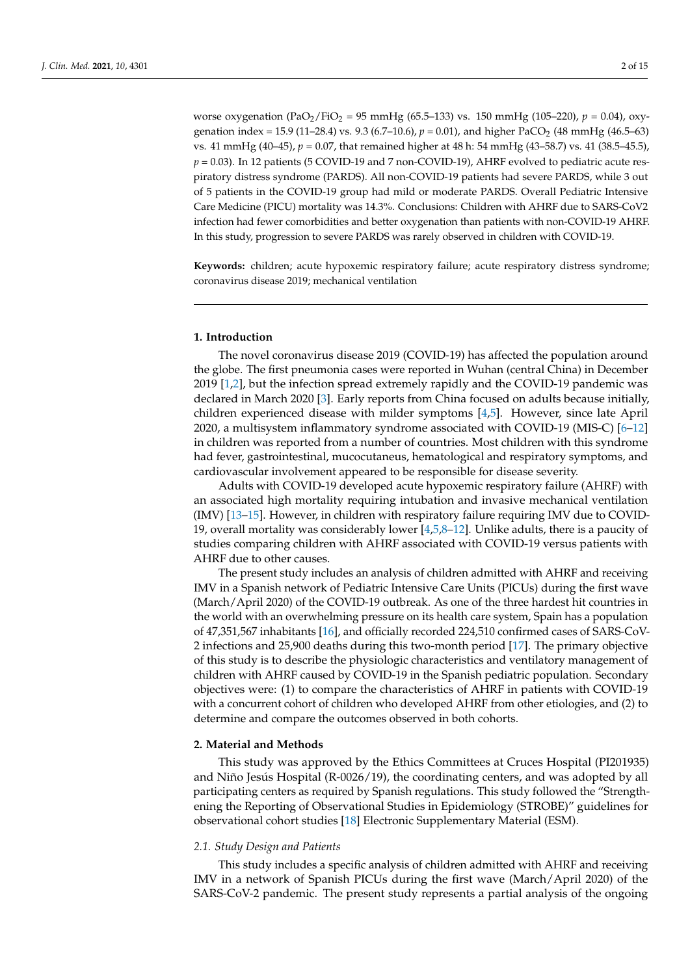worse oxygenation (PaO<sub>2</sub>/FiO<sub>2</sub> = 95 mmHg (65.5–133) vs. 150 mmHg (105–220),  $p = 0.04$ ), oxygenation index = 15.9 (11–28.4) vs. 9.3 (6.7–10.6),  $p = 0.01$ ), and higher PaCO<sub>2</sub> (48 mmHg (46.5–63) vs. 41 mmHg (40–45), *p* = 0.07, that remained higher at 48 h: 54 mmHg (43–58.7) vs. 41 (38.5–45.5), *p* = 0.03). In 12 patients (5 COVID-19 and 7 non-COVID-19), AHRF evolved to pediatric acute respiratory distress syndrome (PARDS). All non-COVID-19 patients had severe PARDS, while 3 out of 5 patients in the COVID-19 group had mild or moderate PARDS. Overall Pediatric Intensive Care Medicine (PICU) mortality was 14.3%. Conclusions: Children with AHRF due to SARS-CoV2 infection had fewer comorbidities and better oxygenation than patients with non-COVID-19 AHRF. In this study, progression to severe PARDS was rarely observed in children with COVID-19.

**Keywords:** children; acute hypoxemic respiratory failure; acute respiratory distress syndrome; coronavirus disease 2019; mechanical ventilation

## **1. Introduction**

The novel coronavirus disease 2019 (COVID-19) has affected the population around the globe. The first pneumonia cases were reported in Wuhan (central China) in December 2019 [\[1,](#page-12-0)[2\]](#page-12-1), but the infection spread extremely rapidly and the COVID-19 pandemic was declared in March 2020 [\[3\]](#page-12-2). Early reports from China focused on adults because initially, children experienced disease with milder symptoms [\[4,](#page-12-3)[5\]](#page-12-4). However, since late April 2020, a multisystem inflammatory syndrome associated with COVID-19 (MIS-C) [\[6](#page-12-5)[–12\]](#page-12-6) in children was reported from a number of countries. Most children with this syndrome had fever, gastrointestinal, mucocutaneus, hematological and respiratory symptoms, and cardiovascular involvement appeared to be responsible for disease severity.

Adults with COVID-19 developed acute hypoxemic respiratory failure (AHRF) with an associated high mortality requiring intubation and invasive mechanical ventilation (IMV) [\[13–](#page-12-7)[15\]](#page-12-8). However, in children with respiratory failure requiring IMV due to COVID-19, overall mortality was considerably lower [\[4](#page-12-3)[,5](#page-12-4)[,8](#page-12-9)[–12\]](#page-12-6). Unlike adults, there is a paucity of studies comparing children with AHRF associated with COVID-19 versus patients with AHRF due to other causes.

The present study includes an analysis of children admitted with AHRF and receiving IMV in a Spanish network of Pediatric Intensive Care Units (PICUs) during the first wave (March/April 2020) of the COVID-19 outbreak. As one of the three hardest hit countries in the world with an overwhelming pressure on its health care system, Spain has a population of 47,351,567 inhabitants [\[16\]](#page-13-0), and officially recorded 224,510 confirmed cases of SARS-CoV-2 infections and 25,900 deaths during this two-month period [\[17\]](#page-13-1). The primary objective of this study is to describe the physiologic characteristics and ventilatory management of children with AHRF caused by COVID-19 in the Spanish pediatric population. Secondary objectives were: (1) to compare the characteristics of AHRF in patients with COVID-19 with a concurrent cohort of children who developed AHRF from other etiologies, and (2) to determine and compare the outcomes observed in both cohorts.

## **2. Material and Methods**

This study was approved by the Ethics Committees at Cruces Hospital (PI201935) and Niño Jesús Hospital (R-0026/19), the coordinating centers, and was adopted by all participating centers as required by Spanish regulations. This study followed the "Strengthening the Reporting of Observational Studies in Epidemiology (STROBE)" guidelines for observational cohort studies [\[18\]](#page-13-2) Electronic Supplementary Material (ESM).

#### *2.1. Study Design and Patients*

This study includes a specific analysis of children admitted with AHRF and receiving IMV in a network of Spanish PICUs during the first wave (March/April 2020) of the SARS-CoV-2 pandemic. The present study represents a partial analysis of the ongoing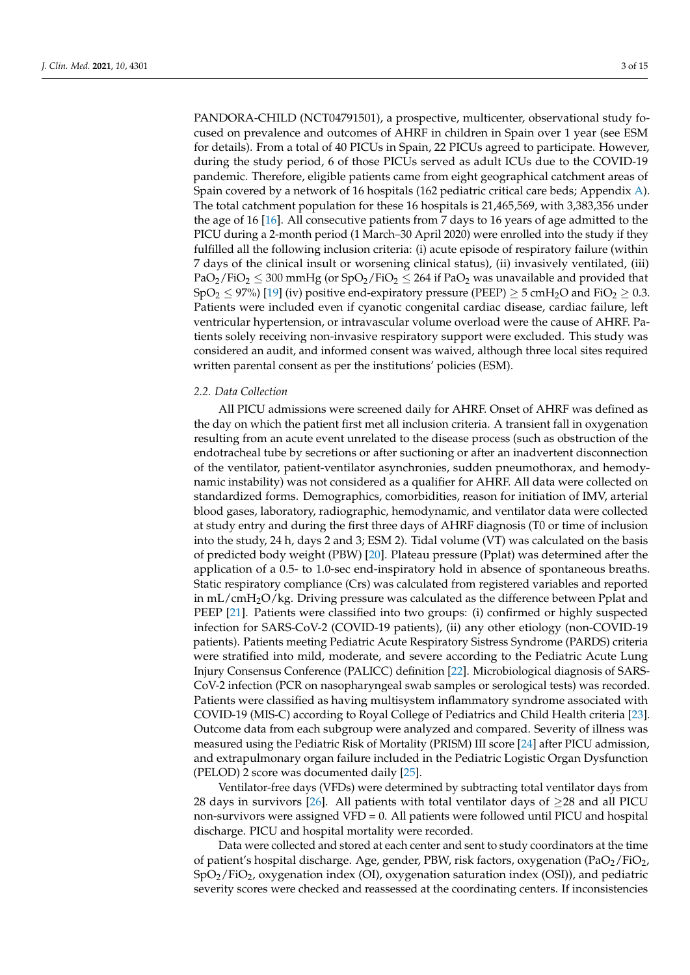PANDORA-CHILD (NCT04791501), a prospective, multicenter, observational study focused on prevalence and outcomes of AHRF in children in Spain over 1 year (see ESM for details). From a total of 40 PICUs in Spain, 22 PICUs agreed to participate. However, during the study period, 6 of those PICUs served as adult ICUs due to the COVID-19 pandemic. Therefore, eligible patients came from eight geographical catchment areas of Spain covered by a network of 16 hospitals (162 pediatric critical care beds; Appendix [A\)](#page-11-0). The total catchment population for these 16 hospitals is 21,465,569, with 3,383,356 under the age of 16 [\[16\]](#page-13-0). All consecutive patients from 7 days to 16 years of age admitted to the PICU during a 2-month period (1 March–30 April 2020) were enrolled into the study if they fulfilled all the following inclusion criteria: (i) acute episode of respiratory failure (within 7 days of the clinical insult or worsening clinical status), (ii) invasively ventilated, (iii)  $PaO_2/FiO_2 \leq 300$  mmHg (or SpO<sub>2</sub>/FiO<sub>2</sub>  $\leq 264$  if PaO<sub>2</sub> was unavailable and provided that  $SpO<sub>2</sub> \leq 97\%$  [\[19\]](#page-13-3) (iv) positive end-expiratory pressure (PEEP)  $\geq 5$  cmH<sub>2</sub>O and FiO<sub>2</sub>  $\geq 0.3$ . Patients were included even if cyanotic congenital cardiac disease, cardiac failure, left ventricular hypertension, or intravascular volume overload were the cause of AHRF. Patients solely receiving non-invasive respiratory support were excluded. This study was considered an audit, and informed consent was waived, although three local sites required written parental consent as per the institutions' policies (ESM).

## *2.2. Data Collection*

All PICU admissions were screened daily for AHRF. Onset of AHRF was defined as the day on which the patient first met all inclusion criteria. A transient fall in oxygenation resulting from an acute event unrelated to the disease process (such as obstruction of the endotracheal tube by secretions or after suctioning or after an inadvertent disconnection of the ventilator, patient-ventilator asynchronies, sudden pneumothorax, and hemodynamic instability) was not considered as a qualifier for AHRF. All data were collected on standardized forms. Demographics, comorbidities, reason for initiation of IMV, arterial blood gases, laboratory, radiographic, hemodynamic, and ventilator data were collected at study entry and during the first three days of AHRF diagnosis (T0 or time of inclusion into the study, 24 h, days 2 and 3; ESM 2). Tidal volume (VT) was calculated on the basis of predicted body weight (PBW) [\[20\]](#page-13-4). Plateau pressure (Pplat) was determined after the application of a 0.5- to 1.0-sec end-inspiratory hold in absence of spontaneous breaths. Static respiratory compliance (Crs) was calculated from registered variables and reported in  $mL/cmH<sub>2</sub>O/kg$ . Driving pressure was calculated as the difference between Pplat and PEEP [\[21\]](#page-13-5). Patients were classified into two groups: (i) confirmed or highly suspected infection for SARS-CoV-2 (COVID-19 patients), (ii) any other etiology (non-COVID-19 patients). Patients meeting Pediatric Acute Respiratory Sistress Syndrome (PARDS) criteria were stratified into mild, moderate, and severe according to the Pediatric Acute Lung Injury Consensus Conference (PALICC) definition [\[22\]](#page-13-6). Microbiological diagnosis of SARS-CoV-2 infection (PCR on nasopharyngeal swab samples or serological tests) was recorded. Patients were classified as having multisystem inflammatory syndrome associated with COVID-19 (MIS-C) according to Royal College of Pediatrics and Child Health criteria [\[23\]](#page-13-7). Outcome data from each subgroup were analyzed and compared. Severity of illness was measured using the Pediatric Risk of Mortality (PRISM) III score [\[24\]](#page-13-8) after PICU admission, and extrapulmonary organ failure included in the Pediatric Logistic Organ Dysfunction (PELOD) 2 score was documented daily [\[25\]](#page-13-9).

Ventilator-free days (VFDs) were determined by subtracting total ventilator days from 28 days in survivors [\[26\]](#page-13-10). All patients with total ventilator days of  $\geq$ 28 and all PICU non-survivors were assigned  $VFD = 0$ . All patients were followed until PICU and hospital discharge. PICU and hospital mortality were recorded.

Data were collected and stored at each center and sent to study coordinators at the time of patient's hospital discharge. Age, gender, PBW, risk factors, oxygenation  $(\text{PaO}_2/\text{FiO}_2)$ , SpO2/FiO2, oxygenation index (OI), oxygenation saturation index (OSI)), and pediatric severity scores were checked and reassessed at the coordinating centers. If inconsistencies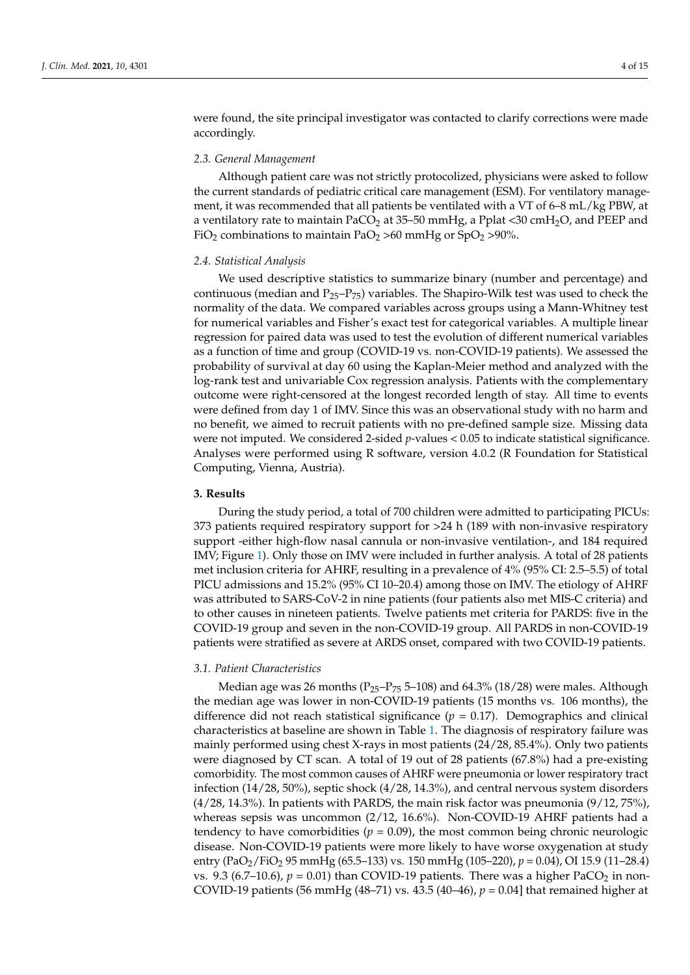were found, the site principal investigator was contacted to clarify corrections were made accordingly.

## *2.3. General Management*

Although patient care was not strictly protocolized, physicians were asked to follow the current standards of pediatric critical care management (ESM). For ventilatory management, it was recommended that all patients be ventilated with a VT of 6–8 mL/kg PBW, at a ventilatory rate to maintain PaCO<sub>2</sub> at 35-50 mmHg, a Pplat <30 cmH<sub>2</sub>O, and PEEP and FiO<sub>2</sub> combinations to maintain PaO<sub>2</sub> >60 mmHg or SpO<sub>2</sub> >90%.

## *2.4. Statistical Analysis*

We used descriptive statistics to summarize binary (number and percentage) and continuous (median and  $P_{25}-P_{75}$ ) variables. The Shapiro-Wilk test was used to check the normality of the data. We compared variables across groups using a Mann-Whitney test for numerical variables and Fisher's exact test for categorical variables. A multiple linear regression for paired data was used to test the evolution of different numerical variables as a function of time and group (COVID-19 vs. non-COVID-19 patients). We assessed the probability of survival at day 60 using the Kaplan-Meier method and analyzed with the log-rank test and univariable Cox regression analysis. Patients with the complementary outcome were right-censored at the longest recorded length of stay. All time to events were defined from day 1 of IMV. Since this was an observational study with no harm and no benefit, we aimed to recruit patients with no pre-defined sample size. Missing data were not imputed. We considered 2-sided *p*-values < 0.05 to indicate statistical significance. Analyses were performed using R software, version 4.0.2 (R Foundation for Statistical Computing, Vienna, Austria).

#### **3. Results**

During the study period, a total of 700 children were admitted to participating PICUs: 373 patients required respiratory support for >24 h (189 with non-invasive respiratory support -either high-flow nasal cannula or non-invasive ventilation-, and 184 required IMV; Figure [1\)](#page-4-0). Only those on IMV were included in further analysis. A total of 28 patients met inclusion criteria for AHRF, resulting in a prevalence of 4% (95% CI: 2.5–5.5) of total PICU admissions and 15.2% (95% CI 10–20.4) among those on IMV. The etiology of AHRF was attributed to SARS-CoV-2 in nine patients (four patients also met MIS-C criteria) and to other causes in nineteen patients. Twelve patients met criteria for PARDS: five in the COVID-19 group and seven in the non-COVID-19 group. All PARDS in non-COVID-19 patients were stratified as severe at ARDS onset, compared with two COVID-19 patients.

## *3.1. Patient Characteristics*

Median age was 26 months ( $P_{25}-P_{75}$  5-108) and 64.3% (18/28) were males. Although the median age was lower in non-COVID-19 patients (15 months vs. 106 months), the difference did not reach statistical significance  $(p = 0.17)$ . Demographics and clinical characteristics at baseline are shown in Table [1.](#page-5-0) The diagnosis of respiratory failure was mainly performed using chest X-rays in most patients (24/28, 85.4%). Only two patients were diagnosed by CT scan. A total of 19 out of 28 patients (67.8%) had a pre-existing comorbidity. The most common causes of AHRF were pneumonia or lower respiratory tract infection (14/28, 50%), septic shock (4/28, 14.3%), and central nervous system disorders (4/28, 14.3%). In patients with PARDS, the main risk factor was pneumonia (9/12, 75%), whereas sepsis was uncommon (2/12, 16.6%). Non-COVID-19 AHRF patients had a tendency to have comorbidities ( $p = 0.09$ ), the most common being chronic neurologic disease. Non-COVID-19 patients were more likely to have worse oxygenation at study entry (PaO2/FiO<sup>2</sup> 95 mmHg (65.5–133) vs. 150 mmHg (105–220), *p* = 0.04), OI 15.9 (11–28.4) vs. 9.3 (6.7–10.6),  $p = 0.01$ ) than COVID-19 patients. There was a higher PaCO<sub>2</sub> in non-COVID-19 patients (56 mmHg (48–71) vs. 43.5 (40–46), *p* = 0.04] that remained higher at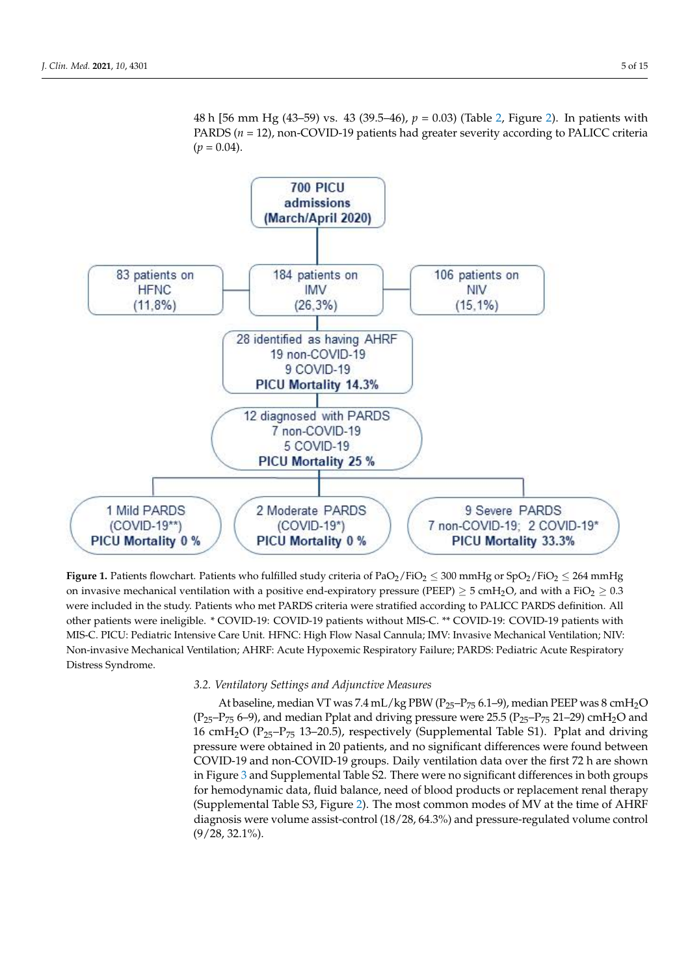<span id="page-4-0"></span>

48 h [56 mm Hg (43–59) vs. 43 (39.5–46), *p* = 0.03) (Table [2,](#page-6-0) Figure [2\)](#page-6-1). In patients with PARDS (*n* = 12), non-COVID-19 patients had greater severity according to PALICC criteria

**Figure 1.** Patients flowchart. Patients who fulfilled study criteria of PaO<sub>2</sub>/FiO<sub>2</sub>  $\leq$  300 mmHg or SpO<sub>2</sub>/FiO<sub>2</sub>  $\leq$  264 mmHg on invasive mechanical ventilation with a positive end-expiratory pressure (PEEP)  $\geq$  5 cmH<sub>2</sub>O, and with a FiO<sub>2</sub>  $\geq$  0.3 were included in the study. Patients who met PARDS criteria were stratified according to PALICC PARDS definition. All other patients were ineligible. \* COVID-19: COVID-19 patients without MIS-C. \*\* COVID-19: COVID-19 patients with MIS-C. PICU: Pediatric Intensive Care Unit. HFNC: High Flow Nasal Cannula; IMV: Invasive Mechanical Ventilation; NIV: Non-invasive Mechanical Ventilation; AHRF: Acute Hypoxemic Respiratory Failure; PARDS: Pediatric Acute Respiratory Distress Syndrome.

#### *3.2. Ventilatory Settings and Adjunctive Measures*

At baseline, median VT was 7.4 mL/kg PBW ( $P_{25}-P_{75}$  6.1–9), median PEEP was 8 cmH<sub>2</sub>O  $(P_{25}-P_{75} 6-9)$ , and median Pplat and driving pressure were 25.5  $(P_{25}-P_{75} 21-29)$  cmH<sub>2</sub>O and 16 cm $H_2O$  (P<sub>25</sub>–P<sub>75</sub> 13–20.5), respectively (Supplemental Table S1). Pplat and driving pressure were obtained in 20 patients, and no significant differences were found between COVID-19 and non-COVID-19 groups. Daily ventilation data over the first 72 h are shown in Figure [3](#page-7-0) and Supplemental Table S2. There were no significant differences in both groups for hemodynamic data, fluid balance, need of blood products or replacement renal therapy (Supplemental Table S3, Figure [2\)](#page-6-1). The most common modes of MV at the time of AHRF diagnosis were volume assist-control (18/28, 64.3%) and pressure-regulated volume control (9/28, 32.1%).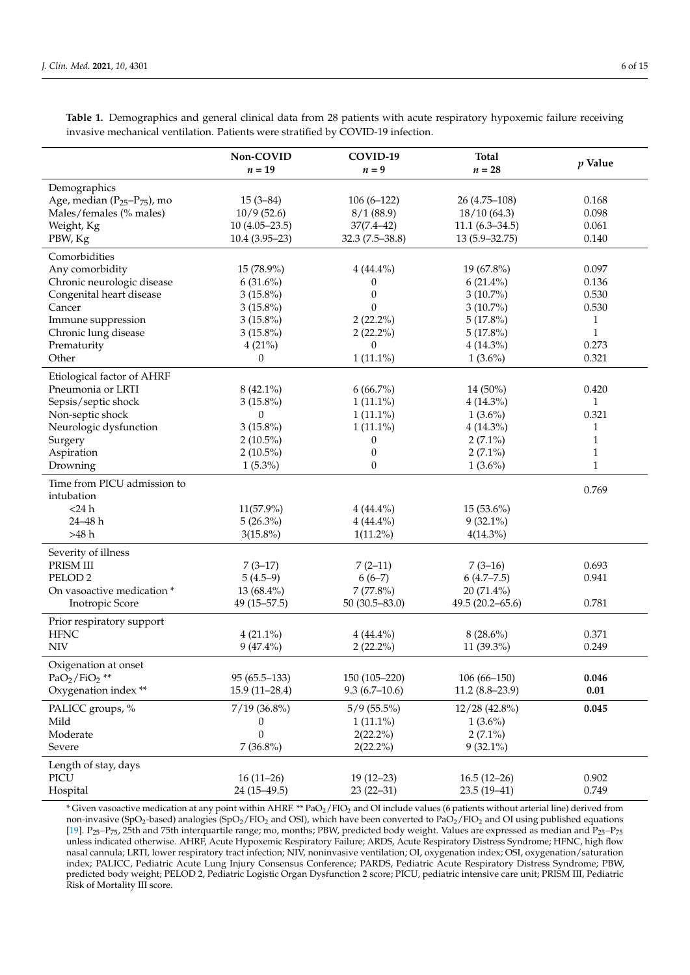|                                                        | Non-COVID<br>$n = 19$            | COVID-19<br>$n = 9$          | <b>Total</b><br>$n=28$      | $p$ Value    |
|--------------------------------------------------------|----------------------------------|------------------------------|-----------------------------|--------------|
| Demographics                                           |                                  |                              |                             |              |
| Age, median (P <sub>25</sub> -P <sub>75</sub> ), mo    | $15(3-84)$                       | $106(6-122)$                 | 26 (4.75-108)               | 0.168        |
| Males/females (% males)                                | 10/9(52.6)                       | 8/1(88.9)                    | 18/10(64.3)                 | 0.098        |
| Weight, Kg                                             | $10(4.05-23.5)$                  | $37(7.4 - 42)$               | $11.1(6.3 - 34.5)$          | 0.061        |
| PBW, Kg                                                | $10.4(3.95-23)$                  | $32.3(7.5-38.8)$             | $13(5.9 - 32.75)$           | 0.140        |
| Comorbidities                                          |                                  |                              |                             |              |
|                                                        |                                  |                              | 19 (67.8%)                  | 0.097        |
| Any comorbidity                                        | 15 (78.9%)                       | $4(44.4\%)$                  |                             | 0.136        |
| Chronic neurologic disease<br>Congenital heart disease | $6(31.6\%)$<br>$3(15.8\%)$       | $\theta$<br>$\theta$         | $6(21.4\%)$<br>$3(10.7\%)$  | 0.530        |
| Cancer                                                 | $3(15.8\%)$                      | $\mathbf{0}$                 | $3(10.7\%)$                 | 0.530        |
| Immune suppression                                     | $3(15.8\%)$                      | $2(22.2\%)$                  | $5(17.8\%)$                 | 1            |
| Chronic lung disease                                   | $3(15.8\%)$                      | $2(22.2\%)$                  | 5(17.8%)                    | $\mathbf{1}$ |
| Prematurity                                            | 4(21%)                           | $\theta$                     | 4 (14.3%)                   | 0.273        |
| Other                                                  | $\theta$                         | $1(11.1\%)$                  | $1(3.6\%)$                  | 0.321        |
|                                                        |                                  |                              |                             |              |
| Etiological factor of AHRF                             |                                  |                              |                             |              |
| Pneumonia or LRTI                                      | $8(42.1\%)$                      | $6(66.7\%)$                  | 14 (50%)                    | 0.420        |
| Sepsis/septic shock                                    | $3(15.8\%)$                      | $1(11.1\%)$                  | 4 (14.3%)                   | $\mathbf{1}$ |
| Non-septic shock                                       | $\theta$                         | $1(11.1\%)$                  | $1(3.6\%)$                  | 0.321        |
| Neurologic dysfunction                                 | $3(15.8\%)$                      | $1(11.1\%)$                  | $4(14.3\%)$                 | 1            |
| Surgery                                                | $2(10.5\%)$                      | 0                            | $2(7.1\%)$                  | 1            |
| Aspiration                                             | $2(10.5\%)$                      | 0                            | $2(7.1\%)$                  | $\mathbf{1}$ |
| Drowning                                               | $1(5.3\%)$                       | $\boldsymbol{0}$             | $1(3.6\%)$                  | $\mathbf{1}$ |
| Time from PICU admission to                            |                                  |                              |                             | 0.769        |
| intubation                                             |                                  |                              |                             |              |
| $<$ 24 h                                               | 11(57.9%)                        | $4(44.4\%)$                  | 15 (53.6%)                  |              |
| 24-48h                                                 | $5(26.3\%)$                      | $4(44.4\%)$                  | $9(32.1\%)$                 |              |
| >48 h                                                  | $3(15.8\%)$                      | $1(11.2\%)$                  | $4(14.3\%)$                 |              |
| Severity of illness                                    |                                  |                              |                             |              |
| PRISM III                                              | $7(3-17)$                        | $7(2-11)$                    | $7(3-16)$                   | 0.693        |
| PELOD <sub>2</sub>                                     | $5(4.5-9)$                       | $6(6-7)$                     | 6(4.7–7.5)                  | 0.941        |
| On vasoactive medication *                             | 13 (68.4%)                       | $7(77.8\%)$                  | 20 (71.4%)                  |              |
| Inotropic Score                                        | $49(15 - 57.5)$                  | $50(30.5 - 83.0)$            | $49.5(20.2 - 65.6)$         | 0.781        |
| Prior respiratory support                              |                                  |                              |                             |              |
| <b>HFNC</b>                                            | $4(21.1\%)$                      | $4(44.4\%)$                  | $8(28.6\%)$                 | 0.371        |
| <b>NIV</b>                                             | $9(47.4\%)$                      | $2(22.2\%)$                  | 11 (39.3%)                  | 0.249        |
| Oxigenation at onset                                   |                                  |                              |                             |              |
| $PaO2/FiO2$ **                                         | $95(65.5-133)$                   | $150(105 - 220)$             | $106(66 - 150)$             | 0.046        |
| Oxygenation index **                                   | $15.9(11-28.4)$                  | $9.3(6.7-10.6)$              | $11.2(8.8-23.9)$            | 0.01         |
|                                                        | $7/19$ (36.8%)                   |                              |                             | 0.045        |
| PALICC groups, %<br>Mild                               |                                  | $5/9(55.5\%)$<br>$1(11.1\%)$ | 12/28 (42.8%)<br>$1(3.6\%)$ |              |
| Moderate                                               | $\boldsymbol{0}$<br>$\mathbf{0}$ |                              |                             |              |
| Severe                                                 | $7(36.8\%)$                      | $2(22.2\%)$<br>$2(22.2\%)$   | $2(7.1\%)$<br>$9(32.1\%)$   |              |
|                                                        |                                  |                              |                             |              |
| Length of stay, days                                   |                                  |                              |                             |              |
| PICU                                                   | $16(11-26)$                      | $19(12-23)$                  | $16.5(12-26)$               | 0.902        |
| Hospital                                               | 24 (15-49.5)                     | $23(22-31)$                  | $23.5(19-41)$               | 0.749        |

<span id="page-5-0"></span>**Table 1.** Demographics and general clinical data from 28 patients with acute respiratory hypoxemic failure receiving invasive mechanical ventilation. Patients were stratified by COVID-19 infection.

\* Given vasoactive medication at any point within AHRF. \*\* PaO2/FIO<sup>2</sup> and OI include values (6 patients without arterial line) derived from non-invasive (SpO<sub>2</sub>-based) analogies (SpO<sub>2</sub>/FIO<sub>2</sub> and OSI), which have been converted to PaO<sub>2</sub>/FIO<sub>2</sub> and OI using published equations [\[19\]](#page-13-3).  $P_{25}-P_{75}$ , 25th and 75th interquartile range; mo, months; PBW, predicted body weight. Values are expressed as median and  $P_{25}-P_{75}$ unless indicated otherwise. AHRF, Acute Hypoxemic Respiratory Failure; ARDS, Acute Respiratory Distress Syndrome; HFNC, high flow nasal cannula; LRTI, lower respiratory tract infection; NIV, noninvasive ventilation; OI, oxygenation index; OSI, oxygenation/saturation index; PALICC, Pediatric Acute Lung Injury Consensus Conference; PARDS, Pediatric Acute Respiratory Distress Syndrome; PBW, predicted body weight; PELOD 2, Pediatric Logistic Organ Dysfunction 2 score; PICU, pediatric intensive care unit; PRISM III, Pediatric Risk of Mortality III score.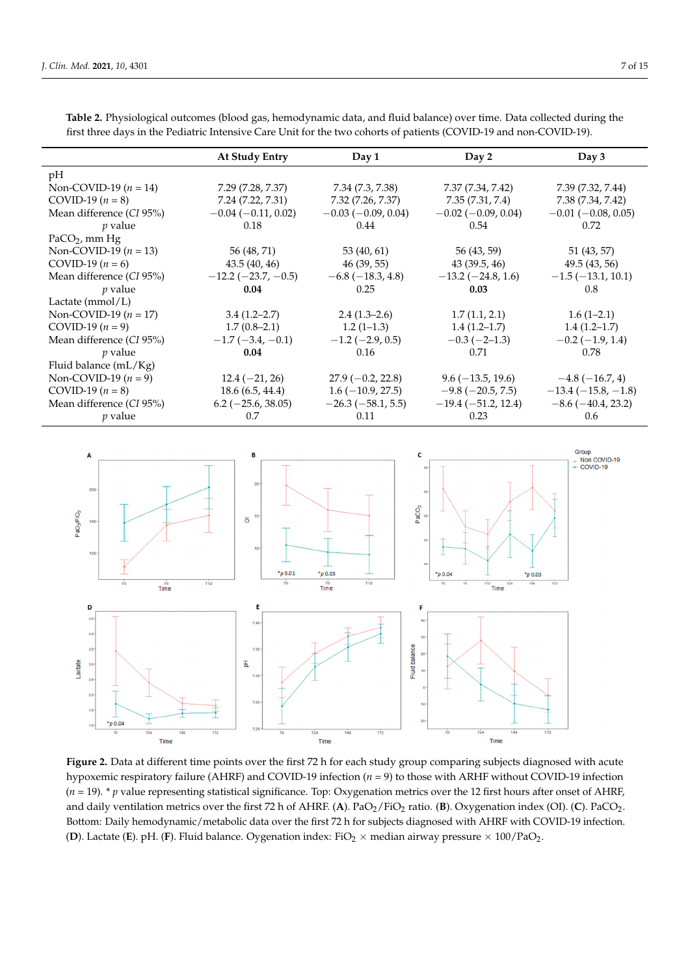<span id="page-6-1"></span>Lactate

 $*_{p0.04}$ 

 $Time$ 

|                                           | <b>At Study Entry</b>        | Day 1                     | Day 2                                  | Day 3                        |
|-------------------------------------------|------------------------------|---------------------------|----------------------------------------|------------------------------|
| pH                                        |                              |                           |                                        |                              |
| Non-COVID-19 ( $n = 14$ )                 | 7.29 (7.28, 7.37)            | 7.34 (7.3, 7.38)          | 7.37 (7.34, 7.42)                      | 7.39 (7.32, 7.44)            |
| COVID-19 $(n = 8)$                        | 7.24 (7.22, 7.31)            | 7.32 (7.26, 7.37)         | 7.35(7.31, 7.4)                        | 7.38 (7.34, 7.42)            |
| Mean difference (CI 95%)                  | $-0.04$ ( $-0.11$ , 0.02)    | $-0.03$ ( $-0.09$ , 0.04) | $-0.02$ ( $-0.09$ , 0.04)              | $-0.01$ ( $-0.08$ , 0.05)    |
| $p$ value                                 | 0.18                         | 0.44                      | 0.54                                   | 0.72                         |
| $PaCO2$ , mm Hg                           |                              |                           |                                        |                              |
| Non-COVID-19 $(n = 13)$                   | 56 (48, 71)                  | 53 (40, 61)               | 56 (43, 59)                            | 51 (43, 57)                  |
| COVID-19 ( $n = 6$ )                      | 43.5 (40, 46)                | 46 (39, 55)               | 43 (39.5, 46)                          | 49.5 (43, 56)                |
| Mean difference (CI 95%)                  | $-12.2$ ( $-23.7$ , $-0.5$ ) | $-6.8(-18.3, 4.8)$        | $-13.2$ ( $-24.8$ , 1.6)               | $-1.5$ ( $-13.1$ , 10.1)     |
| $p$ value                                 | 0.04                         | 0.25                      | 0.03                                   | 0.8                          |
| Lactate $(mmol/L)$                        |                              |                           |                                        |                              |
| Non-COVID-19 ( $n = 17$ )                 | $3.4(1.2 - 2.7)$             | $2.4(1.3-2.6)$            | 1.7(1.1, 2.1)                          | $1.6(1-2.1)$                 |
| COVID-19 $(n = 9)$                        | $1.7(0.8-2.1)$               | $1.2(1-1.3)$              | $1.4(1.2-1.7)$                         | $1.4(1.2-1.7)$               |
| Mean difference (CI 95%)                  | $-1.7(-3.4, -0.1)$           | $-1.2$ ( $-2.9$ , 0.5)    | $-0.3(-2-1.3)$                         | $-0.2$ ( $-1.9$ , 1.4)       |
| $p$ value                                 | 0.04                         | 0.16                      | 0.71                                   | 0.78                         |
| Fluid balance (mL/Kg)                     |                              |                           |                                        |                              |
| Non-COVID-19 $(n = 9)$                    | $12.4 (-21, 26)$             | $27.9(-0.2, 22.8)$        | $9.6(-13.5, 19.6)$                     | $-4.8(-16.7, 4)$             |
| COVID-19 $(n = 8)$                        | 18.6(6.5, 44.4)              | $1.6(-10.9, 27.5)$        | $-9.8$ ( $-20.5$ , 7.5)                | $-13.4(-15.8,-1.8)$          |
| Mean difference (CI 95%)                  | $6.2$ (-25.6, 38.05)         | $-26.3(-58.1, 5.5)$       | $-19.4(-51.2, 12.4)$                   | $-8.6$ ( $-40.4$ , 23.2)     |
| $p$ value                                 | 0.7                          | 0.11                      | 0.23                                   | 0.6                          |
|                                           |                              |                           |                                        |                              |
|                                           | В                            |                           | c                                      | Group                        |
| Α                                         |                              |                           |                                        | Non COVID-19<br>$-$ COVID-19 |
|                                           |                              |                           |                                        |                              |
| 200                                       | 20 <sup>1</sup>              |                           |                                        |                              |
|                                           |                              |                           |                                        |                              |
|                                           | 15 <sup>°</sup>              |                           | PaCO <sub>2</sub>                      |                              |
| PaO <sub>2</sub> /FIO <sub>2</sub><br>160 | $\overline{O}$               |                           |                                        |                              |
|                                           |                              |                           |                                        |                              |
| 120                                       | 10 <sup>1</sup>              |                           |                                        |                              |
|                                           |                              |                           |                                        |                              |
|                                           |                              |                           |                                        |                              |
|                                           | $*_{p0.01}$                  | $*_{p,0.03}$              | $*_{p0.04}$<br>$*_{D} 0.03$            |                              |
| T6<br>T <sub>0</sub><br>Time              | TO<br>Ti2                    | T6<br>T12<br>Time         | $\overline{148}$<br>T24<br>T12<br>Time | $\frac{1}{172}$              |

<span id="page-6-0"></span>**Table 2.** Physiological outcomes (blood gas, hemodynamic data, and fluid balance) over time. Data collected during the first three days in the Pediatric Intensive Care Unit for the two cohorts of patients (COVID-19 and non-COVID-19).

**Figure 2.** Data at different time points over the first 72 h for each study group comparing subjects diagnosed with acute hypoxemic respiratory failure (AHRF) and COVID-19 infection (*n* = 9) to those with ARHF without COVID-19 infection (*n* = 19). \* *p* value representing statistical significance. Top: Oxygenation metrics over the 12 first hours after onset of AHRF, and daily ventilation metrics over the first 72 h of AHRF. (**A**). PaO<sub>2</sub>/FiO<sub>2</sub> ratio. (**B**). Oxygenation index (OI). (**C**). PaCO<sub>2</sub>. Bottom: Daily hemodynamic/metabolic data over the first 72 h for subjects diagnosed with AHRF with COVID-19 infection. (**D**). Lactate (**E**). pH. (**F**). Fluid balance. Oygenation index: FiO<sub>2</sub>  $\times$  median airway pressure  $\times$  100/PaO<sub>2</sub>.

Time

Fluid balance

 $\frac{1}{172}$ 

Time

 $7<sup>3</sup>$ 

 $rac{1}{\alpha}$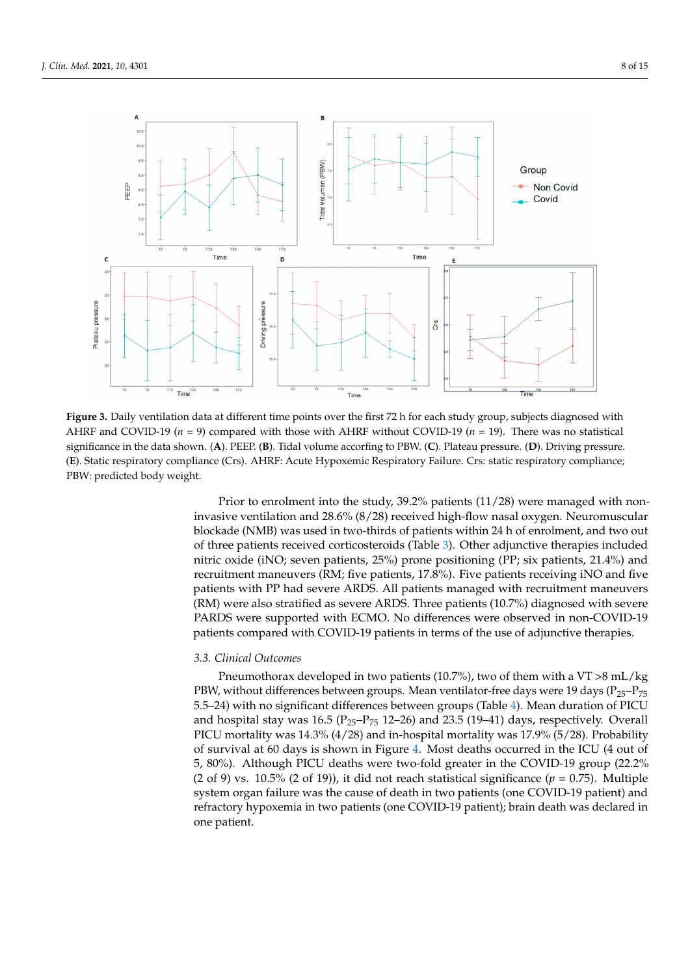<span id="page-7-0"></span>

**Figure 3.** Daily ventilation data at different time points over the first 72 h for each study group, subjects diagnosed with AHRF and COVID-19 (*n* = 9) compared with those with AHRF without COVID-19 (*n* = 19). There was no statistical significance in the data shown. (**A**). PEEP. (**B**). Tidal volume accorfing to PBW. (**C**). Plateau pressure. (**D**). Driving pressure. (**E**). Static respiratory compliance (Crs). AHRF: Acute Hypoxemic Respiratory Failure. Crs: static respiratory compliance; PBW: predicted body weight.

Prior to enrolment into the study, 39.2% patients (11/28) were managed with noninvasive ventilation and 28.6% (8/28) received high-flow nasal oxygen. Neuromuscular blockade (NMB) was used in two-thirds of patients within 24 h of enrolment, and two out of three patients received corticosteroids (Table [3\)](#page-8-0). Other adjunctive therapies included nitric oxide (iNO; seven patients, 25%) prone positioning (PP; six patients, 21.4%) and recruitment maneuvers (RM; five patients, 17.8%). Five patients receiving iNO and five patients with PP had severe ARDS. All patients managed with recruitment maneuvers (RM) were also stratified as severe ARDS. Three patients (10.7%) diagnosed with severe PARDS were supported with ECMO. No differences were observed in non-COVID-19 patients compared with COVID-19 patients in terms of the use of adjunctive therapies.

## *3.3. Clinical Outcomes*

Pneumothorax developed in two patients (10.7%), two of them with a VT >8 mL/kg PBW, without differences between groups. Mean ventilator-free days were 19 days ( $P_{25}-P_{75}$ 5.5–24) with no significant differences between groups (Table [4\)](#page-8-1). Mean duration of PICU and hospital stay was  $16.5$  ( $P_{25}$ – $P_{75}$  12–26) and 23.5 (19–41) days, respectively. Overall PICU mortality was 14.3% (4/28) and in-hospital mortality was 17.9% (5/28). Probability of survival at 60 days is shown in Figure [4.](#page-8-2) Most deaths occurred in the ICU (4 out of 5, 80%). Although PICU deaths were two-fold greater in the COVID-19 group (22.2% (2 of 9) vs.  $10.5\%$  (2 of 19)), it did not reach statistical significance ( $p = 0.75$ ). Multiple system organ failure was the cause of death in two patients (one COVID-19 patient) and refractory hypoxemia in two patients (one COVID-19 patient); brain death was declared in one patient.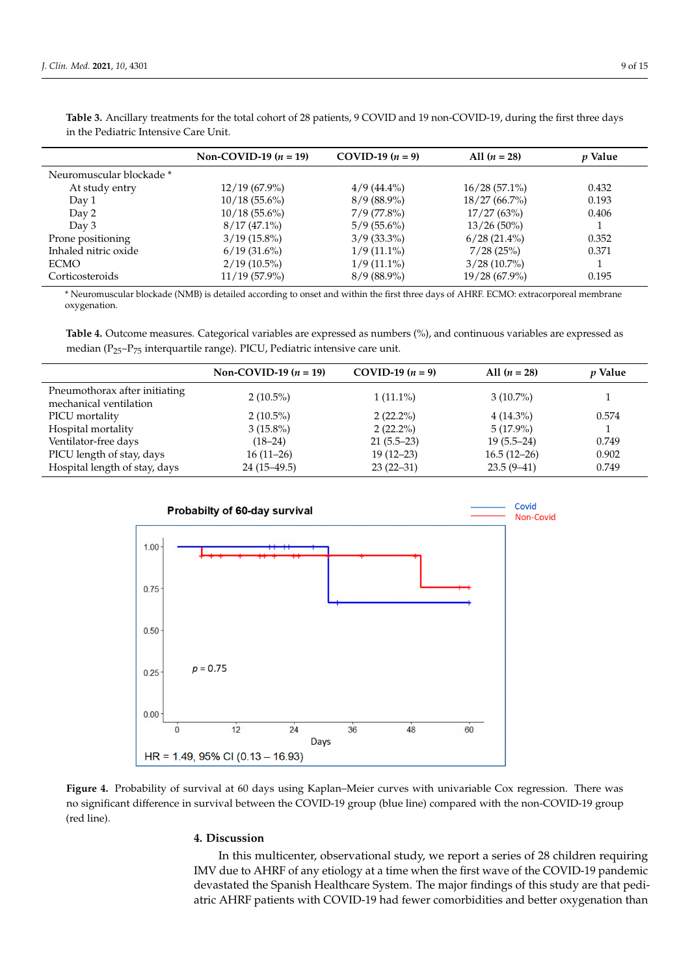|                          | Non-COVID-19 $(n = 19)$ | $COVID-19 (n = 9)$ | All $(n = 28)$  | p Value |
|--------------------------|-------------------------|--------------------|-----------------|---------|
| Neuromuscular blockade * |                         |                    |                 |         |
| At study entry           | $12/19(67.9\%)$         | $4/9(44.4\%)$      | $16/28(57.1\%)$ | 0.432   |
| Day 1                    | $10/18(55.6\%)$         | $8/9(88.9\%)$      | $18/27(66.7\%)$ | 0.193   |
| Day 2                    | $10/18(55.6\%)$         | $7/9$ (77.8%)      | 17/27(63%)      | 0.406   |
| Day 3                    | $8/17(47.1\%)$          | $5/9(55.6\%)$      | $13/26(50\%)$   |         |
| Prone positioning        | $3/19(15.8\%)$          | $3/9(33.3\%)$      | $6/28(21.4\%)$  | 0.352   |
| Inhaled nitric oxide     | $6/19(31.6\%)$          | $1/9(11.1\%)$      | 7/28(25%)       | 0.371   |
| ECMO                     | $2/19(10.5\%)$          | $1/9(11.1\%)$      | $3/28(10.7\%)$  |         |
| Corticosteroids          | $11/19(57.9\%)$         | $8/9(88.9\%)$      | $19/28(67.9\%)$ | 0.195   |

<span id="page-8-0"></span>**Table 3.** Ancillary treatments for the total cohort of 28 patients, 9 COVID and 19 non-COVID-19, during the first three days in the Pediatric Intensive Care Unit.

\* Neuromuscular blockade (NMB) is detailed according to onset and within the first three days of AHRF. ECMO: extracorporeal membrane oxygenation.

<span id="page-8-1"></span>**Table 4.** Outcome measures. Categorical variables are expressed as numbers (%), and continuous variables are expressed as median ( $P_{25}-P_{75}$  interquartile range). PICU, Pediatric intensive care unit.

|                                                         | Non-COVID-19 $(n = 19)$ | COVID-19 $(n = 9)$ | All $(n = 28)$ | <i>p</i> Value |
|---------------------------------------------------------|-------------------------|--------------------|----------------|----------------|
| Pneumothorax after initiating<br>mechanical ventilation | $2(10.5\%)$             | $1(11.1\%)$        | $3(10.7\%)$    |                |
| PICU mortality                                          | $2(10.5\%)$             | $2(22.2\%)$        | $4(14.3\%)$    | 0.574          |
| Hospital mortality                                      | $3(15.8\%)$             | $2(22.2\%)$        | $5(17.9\%)$    |                |
| Ventilator-free days                                    | $(18-24)$               | $21(5.5-23)$       | $19(5.5-24)$   | 0.749          |
| PICU length of stay, days                               | $16(11-26)$             | $19(12-23)$        | $16.5(12-26)$  | 0.902          |
| Hospital length of stay, days                           | $24(15-49.5)$           | $23(22-31)$        | $23.5(9-41)$   | 0.749          |

<span id="page-8-2"></span>

**Figure 4.** Probability of survival at 60 days using Kaplan–Meier curves with univariable Cox regression. There was no significant difference in survival between the COVID-19 group (blue line) compared with the non-COVID-19 group (red line).

## **4. Discussion**

In this multicenter, observational study, we report a series of 28 children requiring IMV due to AHRF of any etiology at a time when the first wave of the COVID-19 pandemic devastated the Spanish Healthcare System. The major findings of this study are that pediatric AHRF patients with COVID-19 had fewer comorbidities and better oxygenation than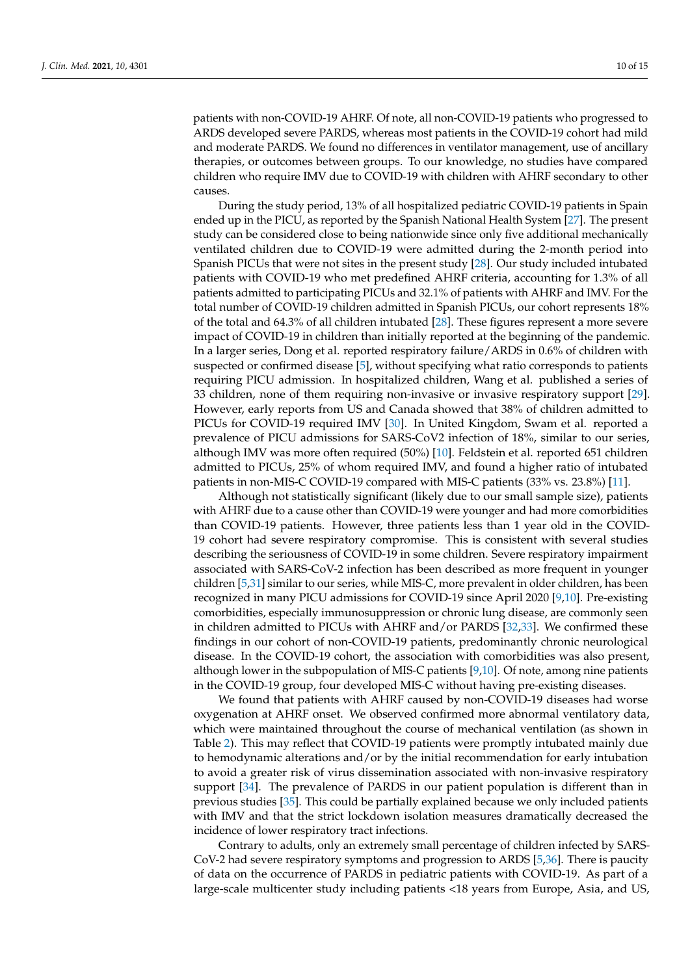patients with non-COVID-19 AHRF. Of note, all non-COVID-19 patients who progressed to ARDS developed severe PARDS, whereas most patients in the COVID-19 cohort had mild and moderate PARDS. We found no differences in ventilator management, use of ancillary therapies, or outcomes between groups. To our knowledge, no studies have compared children who require IMV due to COVID-19 with children with AHRF secondary to other causes.

During the study period, 13% of all hospitalized pediatric COVID-19 patients in Spain ended up in the PICU, as reported by the Spanish National Health System [\[27\]](#page-13-11). The present study can be considered close to being nationwide since only five additional mechanically ventilated children due to COVID-19 were admitted during the 2-month period into Spanish PICUs that were not sites in the present study [\[28\]](#page-13-12). Our study included intubated patients with COVID-19 who met predefined AHRF criteria, accounting for 1.3% of all patients admitted to participating PICUs and 32.1% of patients with AHRF and IMV. For the total number of COVID-19 children admitted in Spanish PICUs, our cohort represents 18% of the total and 64.3% of all children intubated [\[28\]](#page-13-12). These figures represent a more severe impact of COVID-19 in children than initially reported at the beginning of the pandemic. In a larger series, Dong et al. reported respiratory failure/ARDS in 0.6% of children with suspected or confirmed disease [\[5\]](#page-12-4), without specifying what ratio corresponds to patients requiring PICU admission. In hospitalized children, Wang et al. published a series of 33 children, none of them requiring non-invasive or invasive respiratory support [\[29\]](#page-13-13). However, early reports from US and Canada showed that 38% of children admitted to PICUs for COVID-19 required IMV [\[30\]](#page-13-14). In United Kingdom, Swam et al. reported a prevalence of PICU admissions for SARS-CoV2 infection of 18%, similar to our series, although IMV was more often required (50%) [\[10\]](#page-12-10). Feldstein et al. reported 651 children admitted to PICUs, 25% of whom required IMV, and found a higher ratio of intubated patients in non-MIS-C COVID-19 compared with MIS-C patients (33% vs. 23.8%) [\[11\]](#page-12-11).

Although not statistically significant (likely due to our small sample size), patients with AHRF due to a cause other than COVID-19 were younger and had more comorbidities than COVID-19 patients. However, three patients less than 1 year old in the COVID-19 cohort had severe respiratory compromise. This is consistent with several studies describing the seriousness of COVID-19 in some children. Severe respiratory impairment associated with SARS-CoV-2 infection has been described as more frequent in younger children [\[5](#page-12-4)[,31\]](#page-13-15) similar to our series, while MIS-C, more prevalent in older children, has been recognized in many PICU admissions for COVID-19 since April 2020 [\[9](#page-12-12)[,10\]](#page-12-10). Pre-existing comorbidities, especially immunosuppression or chronic lung disease, are commonly seen in children admitted to PICUs with AHRF and/or PARDS [\[32,](#page-13-16)[33\]](#page-13-17). We confirmed these findings in our cohort of non-COVID-19 patients, predominantly chronic neurological disease. In the COVID-19 cohort, the association with comorbidities was also present, although lower in the subpopulation of MIS-C patients [\[9,](#page-12-12)[10\]](#page-12-10). Of note, among nine patients in the COVID-19 group, four developed MIS-C without having pre-existing diseases.

We found that patients with AHRF caused by non-COVID-19 diseases had worse oxygenation at AHRF onset. We observed confirmed more abnormal ventilatory data, which were maintained throughout the course of mechanical ventilation (as shown in Table [2\)](#page-6-0). This may reflect that COVID-19 patients were promptly intubated mainly due to hemodynamic alterations and/or by the initial recommendation for early intubation to avoid a greater risk of virus dissemination associated with non-invasive respiratory support [\[34\]](#page-13-18). The prevalence of PARDS in our patient population is different than in previous studies [\[35\]](#page-13-19). This could be partially explained because we only included patients with IMV and that the strict lockdown isolation measures dramatically decreased the incidence of lower respiratory tract infections.

Contrary to adults, only an extremely small percentage of children infected by SARS-CoV-2 had severe respiratory symptoms and progression to ARDS [\[5](#page-12-4)[,36\]](#page-13-20). There is paucity of data on the occurrence of PARDS in pediatric patients with COVID-19. As part of a large-scale multicenter study including patients <18 years from Europe, Asia, and US,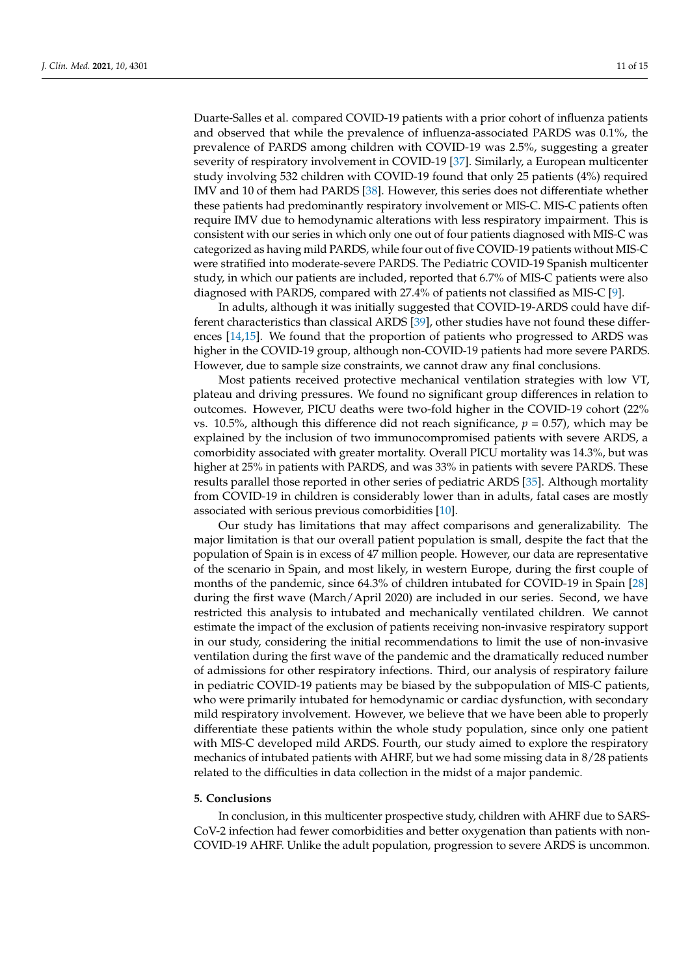Duarte-Salles et al. compared COVID-19 patients with a prior cohort of influenza patients and observed that while the prevalence of influenza-associated PARDS was 0.1%, the prevalence of PARDS among children with COVID-19 was 2.5%, suggesting a greater severity of respiratory involvement in COVID-19 [\[37\]](#page-14-0). Similarly, a European multicenter study involving 532 children with COVID-19 found that only 25 patients (4%) required IMV and 10 of them had PARDS [\[38\]](#page-14-1). However, this series does not differentiate whether these patients had predominantly respiratory involvement or MIS-C. MIS-C patients often require IMV due to hemodynamic alterations with less respiratory impairment. This is consistent with our series in which only one out of four patients diagnosed with MIS-C was categorized as having mild PARDS, while four out of five COVID-19 patients without MIS-C were stratified into moderate-severe PARDS. The Pediatric COVID-19 Spanish multicenter study, in which our patients are included, reported that 6.7% of MIS-C patients were also diagnosed with PARDS, compared with 27.4% of patients not classified as MIS-C [\[9\]](#page-12-12).

In adults, although it was initially suggested that COVID-19-ARDS could have different characteristics than classical ARDS [\[39\]](#page-14-2), other studies have not found these differences [\[14](#page-12-13)[,15\]](#page-12-8). We found that the proportion of patients who progressed to ARDS was higher in the COVID-19 group, although non-COVID-19 patients had more severe PARDS. However, due to sample size constraints, we cannot draw any final conclusions.

Most patients received protective mechanical ventilation strategies with low VT, plateau and driving pressures. We found no significant group differences in relation to outcomes. However, PICU deaths were two-fold higher in the COVID-19 cohort (22% vs. 10.5%, although this difference did not reach significance,  $p = 0.57$ ), which may be explained by the inclusion of two immunocompromised patients with severe ARDS, a comorbidity associated with greater mortality. Overall PICU mortality was 14.3%, but was higher at 25% in patients with PARDS, and was 33% in patients with severe PARDS. These results parallel those reported in other series of pediatric ARDS [\[35\]](#page-13-19). Although mortality from COVID-19 in children is considerably lower than in adults, fatal cases are mostly associated with serious previous comorbidities [\[10\]](#page-12-10).

Our study has limitations that may affect comparisons and generalizability. The major limitation is that our overall patient population is small, despite the fact that the population of Spain is in excess of 47 million people. However, our data are representative of the scenario in Spain, and most likely, in western Europe, during the first couple of months of the pandemic, since 64.3% of children intubated for COVID-19 in Spain [\[28\]](#page-13-12) during the first wave (March/April 2020) are included in our series. Second, we have restricted this analysis to intubated and mechanically ventilated children. We cannot estimate the impact of the exclusion of patients receiving non-invasive respiratory support in our study, considering the initial recommendations to limit the use of non-invasive ventilation during the first wave of the pandemic and the dramatically reduced number of admissions for other respiratory infections. Third, our analysis of respiratory failure in pediatric COVID-19 patients may be biased by the subpopulation of MIS-C patients, who were primarily intubated for hemodynamic or cardiac dysfunction, with secondary mild respiratory involvement. However, we believe that we have been able to properly differentiate these patients within the whole study population, since only one patient with MIS-C developed mild ARDS. Fourth, our study aimed to explore the respiratory mechanics of intubated patients with AHRF, but we had some missing data in 8/28 patients related to the difficulties in data collection in the midst of a major pandemic.

### **5. Conclusions**

In conclusion, in this multicenter prospective study, children with AHRF due to SARS-CoV-2 infection had fewer comorbidities and better oxygenation than patients with non-COVID-19 AHRF. Unlike the adult population, progression to severe ARDS is uncommon.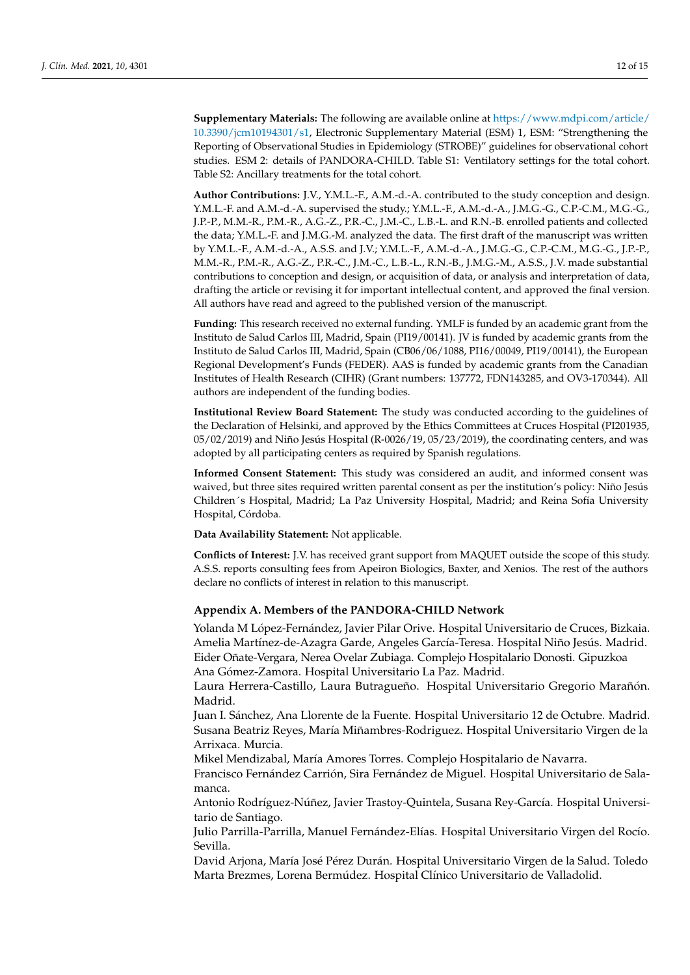**Supplementary Materials:** The following are available online at [https://www.mdpi.com/article/](https://www.mdpi.com/article/10.3390/jcm10194301/s1) [10.3390/jcm10194301/s1,](https://www.mdpi.com/article/10.3390/jcm10194301/s1) Electronic Supplementary Material (ESM) 1, ESM: "Strengthening the Reporting of Observational Studies in Epidemiology (STROBE)" guidelines for observational cohort studies. ESM 2: details of PANDORA-CHILD. Table S1: Ventilatory settings for the total cohort. Table S2: Ancillary treatments for the total cohort.

**Author Contributions:** J.V., Y.M.L.-F., A.M.-d.-A. contributed to the study conception and design. Y.M.L.-F. and A.M.-d.-A. supervised the study.; Y.M.L.-F., A.M.-d.-A., J.M.G.-G., C.P.-C.M., M.G.-G., J.P.-P., M.M.-R., P.M.-R., A.G.-Z., P.R.-C., J.M.-C., L.B.-L. and R.N.-B. enrolled patients and collected the data; Y.M.L.-F. and J.M.G.-M. analyzed the data. The first draft of the manuscript was written by Y.M.L.-F., A.M.-d.-A., A.S.S. and J.V.; Y.M.L.-F., A.M.-d.-A., J.M.G.-G., C.P.-C.M., M.G.-G., J.P.-P., M.M.-R., P.M.-R., A.G.-Z., P.R.-C., J.M.-C., L.B.-L., R.N.-B., J.M.G.-M., A.S.S., J.V. made substantial contributions to conception and design, or acquisition of data, or analysis and interpretation of data, drafting the article or revising it for important intellectual content, and approved the final version. All authors have read and agreed to the published version of the manuscript.

**Funding:** This research received no external funding. YMLF is funded by an academic grant from the Instituto de Salud Carlos III, Madrid, Spain (PI19/00141). JV is funded by academic grants from the Instituto de Salud Carlos III, Madrid, Spain (CB06/06/1088, PI16/00049, PI19/00141), the European Regional Development's Funds (FEDER). AAS is funded by academic grants from the Canadian Institutes of Health Research (CIHR) (Grant numbers: 137772, FDN143285, and OV3-170344). All authors are independent of the funding bodies.

**Institutional Review Board Statement:** The study was conducted according to the guidelines of the Declaration of Helsinki, and approved by the Ethics Committees at Cruces Hospital (PI201935, 05/02/2019) and Niño Jesús Hospital (R-0026/19, 05/23/2019), the coordinating centers, and was adopted by all participating centers as required by Spanish regulations.

**Informed Consent Statement:** This study was considered an audit, and informed consent was waived, but three sites required written parental consent as per the institution's policy: Niño Jesús Children´s Hospital, Madrid; La Paz University Hospital, Madrid; and Reina Sofía University Hospital, Córdoba.

**Data Availability Statement:** Not applicable.

**Conflicts of Interest:** J.V. has received grant support from MAQUET outside the scope of this study. A.S.S. reports consulting fees from Apeiron Biologics, Baxter, and Xenios. The rest of the authors declare no conflicts of interest in relation to this manuscript.

## <span id="page-11-0"></span>**Appendix A. Members of the PANDORA-CHILD Network**

Yolanda M López-Fernández, Javier Pilar Orive. Hospital Universitario de Cruces, Bizkaia. Amelia Martínez-de-Azagra Garde, Angeles García-Teresa. Hospital Niño Jesús. Madrid. Eider Oñate-Vergara, Nerea Ovelar Zubiaga. Complejo Hospitalario Donosti. Gipuzkoa Ana Gómez-Zamora. Hospital Universitario La Paz. Madrid.

Laura Herrera-Castillo, Laura Butragueño. Hospital Universitario Gregorio Marañón. Madrid.

Juan I. Sánchez, Ana Llorente de la Fuente. Hospital Universitario 12 de Octubre. Madrid. Susana Beatriz Reyes, María Miñambres-Rodriguez. Hospital Universitario Virgen de la Arrixaca. Murcia.

Mikel Mendizabal, María Amores Torres. Complejo Hospitalario de Navarra.

Francisco Fernández Carrión, Sira Fernández de Miguel. Hospital Universitario de Salamanca.

Antonio Rodríguez-Núñez, Javier Trastoy-Quintela, Susana Rey-García. Hospital Universitario de Santiago.

Julio Parrilla-Parrilla, Manuel Fernández-Elías. Hospital Universitario Virgen del Rocío. Sevilla.

David Arjona, María José Pérez Durán. Hospital Universitario Virgen de la Salud. Toledo Marta Brezmes, Lorena Bermúdez. Hospital Clínico Universitario de Valladolid.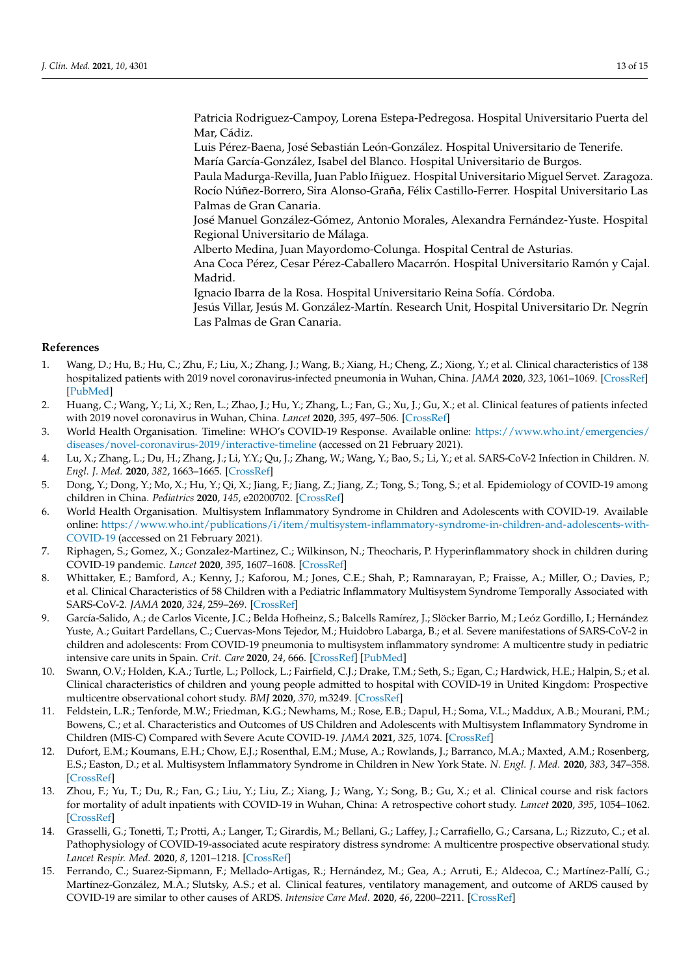Patricia Rodriguez-Campoy, Lorena Estepa-Pedregosa. Hospital Universitario Puerta del Mar, Cádiz.

Luis Pérez-Baena, José Sebastián León-González. Hospital Universitario de Tenerife. María García-González, Isabel del Blanco. Hospital Universitario de Burgos.

Paula Madurga-Revilla, Juan Pablo Iñiguez. Hospital Universitario Miguel Servet. Zaragoza. Rocío Núñez-Borrero, Sira Alonso-Graña, Félix Castillo-Ferrer. Hospital Universitario Las Palmas de Gran Canaria.

José Manuel González-Gómez, Antonio Morales, Alexandra Fernández-Yuste. Hospital Regional Universitario de Málaga.

Alberto Medina, Juan Mayordomo-Colunga. Hospital Central de Asturias.

Ana Coca Pérez, Cesar Pérez-Caballero Macarrón. Hospital Universitario Ramón y Cajal. Madrid.

Ignacio Ibarra de la Rosa. Hospital Universitario Reina Sofía. Córdoba.

Jesús Villar, Jesús M. González-Martín. Research Unit, Hospital Universitario Dr. Negrín Las Palmas de Gran Canaria.

## **References**

- <span id="page-12-0"></span>1. Wang, D.; Hu, B.; Hu, C.; Zhu, F.; Liu, X.; Zhang, J.; Wang, B.; Xiang, H.; Cheng, Z.; Xiong, Y.; et al. Clinical characteristics of 138 hospitalized patients with 2019 novel coronavirus-infected pneumonia in Wuhan, China. *JAMA* **2020**, *323*, 1061–1069. [\[CrossRef\]](http://doi.org/10.1001/jama.2020.1585) [\[PubMed\]](http://www.ncbi.nlm.nih.gov/pubmed/32031570)
- <span id="page-12-1"></span>2. Huang, C.; Wang, Y.; Li, X.; Ren, L.; Zhao, J.; Hu, Y.; Zhang, L.; Fan, G.; Xu, J.; Gu, X.; et al. Clinical features of patients infected with 2019 novel coronavirus in Wuhan, China. *Lancet* **2020**, *395*, 497–506. [\[CrossRef\]](http://doi.org/10.1016/S0140-6736(20)30183-5)
- <span id="page-12-2"></span>3. World Health Organisation. Timeline: WHO's COVID-19 Response. Available online: [https://www.who.int/emergencies/](https://www.who.int/emergencies/diseases/novel-coronavirus-2019/interactive-timeline) [diseases/novel-coronavirus-2019/interactive-timeline](https://www.who.int/emergencies/diseases/novel-coronavirus-2019/interactive-timeline) (accessed on 21 February 2021).
- <span id="page-12-3"></span>4. Lu, X.; Zhang, L.; Du, H.; Zhang, J.; Li, Y.Y.; Qu, J.; Zhang, W.; Wang, Y.; Bao, S.; Li, Y.; et al. SARS-CoV-2 Infection in Children. *N. Engl. J. Med.* **2020**, *382*, 1663–1665. [\[CrossRef\]](http://doi.org/10.1056/NEJMc2005073)
- <span id="page-12-4"></span>5. Dong, Y.; Dong, Y.; Mo, X.; Hu, Y.; Qi, X.; Jiang, F.; Jiang, Z.; Jiang, Z.; Tong, S.; Tong, S.; et al. Epidemiology of COVID-19 among children in China. *Pediatrics* **2020**, *145*, e20200702. [\[CrossRef\]](http://doi.org/10.1542/peds.2020-0702)
- <span id="page-12-5"></span>6. World Health Organisation. Multisystem Inflammatory Syndrome in Children and Adolescents with COVID-19. Available online: [https://www.who.int/publications/i/item/multisystem-inflammatory-syndrome-in-children-and-adolescents-with-](https://www.who.int/publications/i/item/multisystem-inflammatory-syndrome-in-children-and-adolescents-with-COVID-19)[COVID-19](https://www.who.int/publications/i/item/multisystem-inflammatory-syndrome-in-children-and-adolescents-with-COVID-19) (accessed on 21 February 2021).
- 7. Riphagen, S.; Gomez, X.; Gonzalez-Martinez, C.; Wilkinson, N.; Theocharis, P. Hyperinflammatory shock in children during COVID-19 pandemic. *Lancet* **2020**, *395*, 1607–1608. [\[CrossRef\]](http://doi.org/10.1016/S0140-6736(20)31094-1)
- <span id="page-12-9"></span>8. Whittaker, E.; Bamford, A.; Kenny, J.; Kaforou, M.; Jones, C.E.; Shah, P.; Ramnarayan, P.; Fraisse, A.; Miller, O.; Davies, P.; et al. Clinical Characteristics of 58 Children with a Pediatric Inflammatory Multisystem Syndrome Temporally Associated with SARS-CoV-2. *JAMA* **2020**, *324*, 259–269. [\[CrossRef\]](http://doi.org/10.1001/jama.2020.10369)
- <span id="page-12-12"></span>9. García-Salido, A.; de Carlos Vicente, J.C.; Belda Hofheinz, S.; Balcells Ramírez, J.; Slöcker Barrio, M.; Leóz Gordillo, I.; Hernández Yuste, A.; Guitart Pardellans, C.; Cuervas-Mons Tejedor, M.; Huidobro Labarga, B.; et al. Severe manifestations of SARS-CoV-2 in children and adolescents: From COVID-19 pneumonia to multisystem inflammatory syndrome: A multicentre study in pediatric intensive care units in Spain. *Crit. Care* **2020**, *24*, 666. [\[CrossRef\]](http://doi.org/10.1186/s13054-020-03332-4) [\[PubMed\]](http://www.ncbi.nlm.nih.gov/pubmed/33243303)
- <span id="page-12-10"></span>10. Swann, O.V.; Holden, K.A.; Turtle, L.; Pollock, L.; Fairfield, C.J.; Drake, T.M.; Seth, S.; Egan, C.; Hardwick, H.E.; Halpin, S.; et al. Clinical characteristics of children and young people admitted to hospital with COVID-19 in United Kingdom: Prospective multicentre observational cohort study. *BMJ* **2020**, *370*, m3249. [\[CrossRef\]](http://doi.org/10.1136/bmj.m3249)
- <span id="page-12-11"></span>11. Feldstein, L.R.; Tenforde, M.W.; Friedman, K.G.; Newhams, M.; Rose, E.B.; Dapul, H.; Soma, V.L.; Maddux, A.B.; Mourani, P.M.; Bowens, C.; et al. Characteristics and Outcomes of US Children and Adolescents with Multisystem Inflammatory Syndrome in Children (MIS-C) Compared with Severe Acute COVID-19. *JAMA* **2021**, *325*, 1074. [\[CrossRef\]](http://doi.org/10.1001/jama.2021.2091)
- <span id="page-12-6"></span>12. Dufort, E.M.; Koumans, E.H.; Chow, E.J.; Rosenthal, E.M.; Muse, A.; Rowlands, J.; Barranco, M.A.; Maxted, A.M.; Rosenberg, E.S.; Easton, D.; et al. Multisystem Inflammatory Syndrome in Children in New York State. *N. Engl. J. Med.* **2020**, *383*, 347–358. [\[CrossRef\]](http://doi.org/10.1056/NEJMoa2021756)
- <span id="page-12-7"></span>13. Zhou, F.; Yu, T.; Du, R.; Fan, G.; Liu, Y.; Liu, Z.; Xiang, J.; Wang, Y.; Song, B.; Gu, X.; et al. Clinical course and risk factors for mortality of adult inpatients with COVID-19 in Wuhan, China: A retrospective cohort study. *Lancet* **2020**, *395*, 1054–1062. [\[CrossRef\]](http://doi.org/10.1016/S0140-6736(20)30566-3)
- <span id="page-12-13"></span>14. Grasselli, G.; Tonetti, T.; Protti, A.; Langer, T.; Girardis, M.; Bellani, G.; Laffey, J.; Carrafiello, G.; Carsana, L.; Rizzuto, C.; et al. Pathophysiology of COVID-19-associated acute respiratory distress syndrome: A multicentre prospective observational study. *Lancet Respir. Med.* **2020**, *8*, 1201–1218. [\[CrossRef\]](http://doi.org/10.1016/S2213-2600(20)30370-2)
- <span id="page-12-8"></span>15. Ferrando, C.; Suarez-Sipmann, F.; Mellado-Artigas, R.; Hernández, M.; Gea, A.; Arruti, E.; Aldecoa, C.; Martínez-Pallí, G.; Martínez-González, M.A.; Slutsky, A.S.; et al. Clinical features, ventilatory management, and outcome of ARDS caused by COVID-19 are similar to other causes of ARDS. *Intensive Care Med.* **2020**, *46*, 2200–2211. [\[CrossRef\]](http://doi.org/10.1007/s00134-020-06192-2)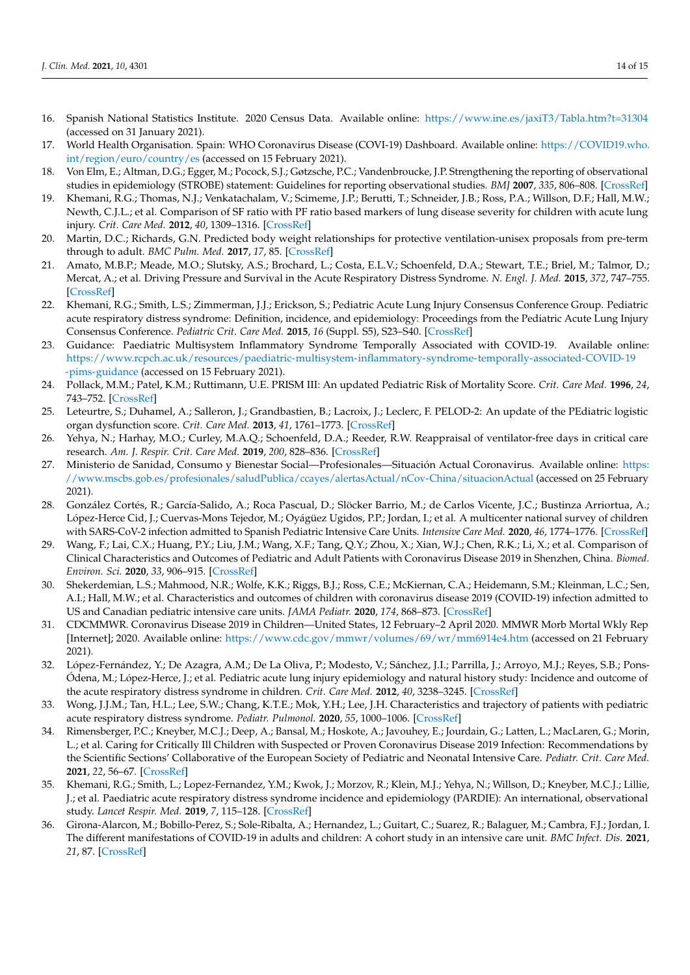- <span id="page-13-0"></span>16. Spanish National Statistics Institute. 2020 Census Data. Available online: <https://www.ine.es/jaxiT3/Tabla.htm?t=31304> (accessed on 31 January 2021).
- <span id="page-13-1"></span>17. World Health Organisation. Spain: WHO Coronavirus Disease (COVI-19) Dashboard. Available online: [https://COVID19.who.](https://COVID19.who.int/region/euro/country/es) [int/region/euro/country/es](https://COVID19.who.int/region/euro/country/es) (accessed on 15 February 2021).
- <span id="page-13-2"></span>18. Von Elm, E.; Altman, D.G.; Egger, M.; Pocock, S.J.; Gøtzsche, P.C.; Vandenbroucke, J.P. Strengthening the reporting of observational studies in epidemiology (STROBE) statement: Guidelines for reporting observational studies. *BMJ* **2007**, *335*, 806–808. [\[CrossRef\]](http://doi.org/10.1136/bmj.39335.541782.AD)
- <span id="page-13-3"></span>19. Khemani, R.G.; Thomas, N.J.; Venkatachalam, V.; Scimeme, J.P.; Berutti, T.; Schneider, J.B.; Ross, P.A.; Willson, D.F.; Hall, M.W.; Newth, C.J.L.; et al. Comparison of SF ratio with PF ratio based markers of lung disease severity for children with acute lung injury. *Crit. Care Med.* **2012**, *40*, 1309–1316. [\[CrossRef\]](http://doi.org/10.1097/CCM.0b013e31823bc61b)
- <span id="page-13-4"></span>20. Martin, D.C.; Richards, G.N. Predicted body weight relationships for protective ventilation-unisex proposals from pre-term through to adult. *BMC Pulm. Med.* **2017**, *17*, 85. [\[CrossRef\]](http://doi.org/10.1186/s12890-017-0427-1)
- <span id="page-13-5"></span>21. Amato, M.B.P.; Meade, M.O.; Slutsky, A.S.; Brochard, L.; Costa, E.L.V.; Schoenfeld, D.A.; Stewart, T.E.; Briel, M.; Talmor, D.; Mercat, A.; et al. Driving Pressure and Survival in the Acute Respiratory Distress Syndrome. *N. Engl. J. Med.* **2015**, *372*, 747–755. [\[CrossRef\]](http://doi.org/10.1056/NEJMsa1410639)
- <span id="page-13-6"></span>22. Khemani, R.G.; Smith, L.S.; Zimmerman, J.J.; Erickson, S.; Pediatric Acute Lung Injury Consensus Conference Group. Pediatric acute respiratory distress syndrome: Definition, incidence, and epidemiology: Proceedings from the Pediatric Acute Lung Injury Consensus Conference. *Pediatric Crit. Care Med.* **2015**, *16* (Suppl. S5), S23–S40. [\[CrossRef\]](http://doi.org/10.1097/PCC.0000000000000432)
- <span id="page-13-7"></span>23. Guidance: Paediatric Multisystem Inflammatory Syndrome Temporally Associated with COVID-19. Available online: [https://www.rcpch.ac.uk/resources/paediatric-multisystem-inflammatory-syndrome-temporally-associated-COVID-19](https://www.rcpch.ac.uk/resources/paediatric-multisystem-inflammatory-syndrome-temporally-associated-COVID-19-pims-guidance) [-pims-guidance](https://www.rcpch.ac.uk/resources/paediatric-multisystem-inflammatory-syndrome-temporally-associated-COVID-19-pims-guidance) (accessed on 15 February 2021).
- <span id="page-13-8"></span>24. Pollack, M.M.; Patel, K.M.; Ruttimann, U.E. PRISM III: An updated Pediatric Risk of Mortality Score. *Crit. Care Med.* **1996**, *24*, 743–752. [\[CrossRef\]](http://doi.org/10.1097/00003246-199605000-00004)
- <span id="page-13-9"></span>25. Leteurtre, S.; Duhamel, A.; Salleron, J.; Grandbastien, B.; Lacroix, J.; Leclerc, F. PELOD-2: An update of the PEdiatric logistic organ dysfunction score. *Crit. Care Med.* **2013**, *41*, 1761–1773. [\[CrossRef\]](http://doi.org/10.1097/CCM.0b013e31828a2bbd)
- <span id="page-13-10"></span>26. Yehya, N.; Harhay, M.O.; Curley, M.A.Q.; Schoenfeld, D.A.; Reeder, R.W. Reappraisal of ventilator-free days in critical care research. *Am. J. Respir. Crit. Care Med.* **2019**, *200*, 828–836. [\[CrossRef\]](http://doi.org/10.1164/rccm.201810-2050CP)
- <span id="page-13-11"></span>27. Ministerio de Sanidad, Consumo y Bienestar Social—Profesionales—Situación Actual Coronavirus. Available online: [https:](https://www.mscbs.gob.es/profesionales/saludPublica/ccayes/alertasActual/nCov-China/situacionActual) [//www.mscbs.gob.es/profesionales/saludPublica/ccayes/alertasActual/nCov-China/situacionActual](https://www.mscbs.gob.es/profesionales/saludPublica/ccayes/alertasActual/nCov-China/situacionActual) (accessed on 25 February 2021).
- <span id="page-13-12"></span>28. González Cortés, R.; García-Salido, A.; Roca Pascual, D.; Slöcker Barrio, M.; de Carlos Vicente, J.C.; Bustinza Arriortua, A.; López-Herce Cid, J.; Cuervas-Mons Tejedor, M.; Oyágüez Ugidos, P.P.; Jordan, I.; et al. A multicenter national survey of children with SARS-CoV-2 infection admitted to Spanish Pediatric Intensive Care Units. *Intensive Care Med.* **2020**, *46*, 1774–1776. [\[CrossRef\]](http://doi.org/10.1007/s00134-020-06146-8)
- <span id="page-13-13"></span>29. Wang, F.; Lai, C.X.; Huang, P.Y.; Liu, J.M.; Wang, X.F.; Tang, Q.Y.; Zhou, X.; Xian, W.J.; Chen, R.K.; Li, X.; et al. Comparison of Clinical Characteristics and Outcomes of Pediatric and Adult Patients with Coronavirus Disease 2019 in Shenzhen, China. *Biomed. Environ. Sci.* **2020**, *33*, 906–915. [\[CrossRef\]](http://doi.org/10.3967/bes2020.124)
- <span id="page-13-14"></span>30. Shekerdemian, L.S.; Mahmood, N.R.; Wolfe, K.K.; Riggs, B.J.; Ross, C.E.; McKiernan, C.A.; Heidemann, S.M.; Kleinman, L.C.; Sen, A.I.; Hall, M.W.; et al. Characteristics and outcomes of children with coronavirus disease 2019 (COVID-19) infection admitted to US and Canadian pediatric intensive care units. *JAMA Pediatr.* **2020**, *174*, 868–873. [\[CrossRef\]](http://doi.org/10.1001/jamapediatrics.2020.1948)
- <span id="page-13-15"></span>31. CDCMMWR. Coronavirus Disease 2019 in Children—United States, 12 February–2 April 2020. MMWR Morb Mortal Wkly Rep [Internet]; 2020. Available online: <https://www.cdc.gov/mmwr/volumes/69/wr/mm6914e4.htm> (accessed on 21 February 2021).
- <span id="page-13-16"></span>32. López-Fernández, Y.; De Azagra, A.M.; De La Oliva, P.; Modesto, V.; Sánchez, J.I.; Parrilla, J.; Arroyo, M.J.; Reyes, S.B.; Pons-Ódena, M.; López-Herce, J.; et al. Pediatric acute lung injury epidemiology and natural history study: Incidence and outcome of the acute respiratory distress syndrome in children. *Crit. Care Med.* **2012**, *40*, 3238–3245. [\[CrossRef\]](http://doi.org/10.1097/CCM.0b013e318260caa3)
- <span id="page-13-17"></span>33. Wong, J.J.M.; Tan, H.L.; Lee, S.W.; Chang, K.T.E.; Mok, Y.H.; Lee, J.H. Characteristics and trajectory of patients with pediatric acute respiratory distress syndrome. *Pediatr. Pulmonol.* **2020**, *55*, 1000–1006. [\[CrossRef\]](http://doi.org/10.1002/ppul.24674)
- <span id="page-13-18"></span>34. Rimensberger, P.C.; Kneyber, M.C.J.; Deep, A.; Bansal, M.; Hoskote, A.; Javouhey, E.; Jourdain, G.; Latten, L.; MacLaren, G.; Morin, L.; et al. Caring for Critically Ill Children with Suspected or Proven Coronavirus Disease 2019 Infection: Recommendations by the Scientific Sections' Collaborative of the European Society of Pediatric and Neonatal Intensive Care. *Pediatr. Crit. Care Med.* **2021**, *22*, 56–67. [\[CrossRef\]](http://doi.org/10.1097/PCC.0000000000002599)
- <span id="page-13-19"></span>35. Khemani, R.G.; Smith, L.; Lopez-Fernandez, Y.M.; Kwok, J.; Morzov, R.; Klein, M.J.; Yehya, N.; Willson, D.; Kneyber, M.C.J.; Lillie, J.; et al. Paediatric acute respiratory distress syndrome incidence and epidemiology (PARDIE): An international, observational study. *Lancet Respir. Med.* **2019**, *7*, 115–128. [\[CrossRef\]](http://doi.org/10.1016/S2213-2600(18)30344-8)
- <span id="page-13-20"></span>36. Girona-Alarcon, M.; Bobillo-Perez, S.; Sole-Ribalta, A.; Hernandez, L.; Guitart, C.; Suarez, R.; Balaguer, M.; Cambra, F.J.; Jordan, I. The different manifestations of COVID-19 in adults and children: A cohort study in an intensive care unit. *BMC Infect. Dis.* **2021**, *21*, 87. [\[CrossRef\]](http://doi.org/10.1186/s12879-021-05786-5)